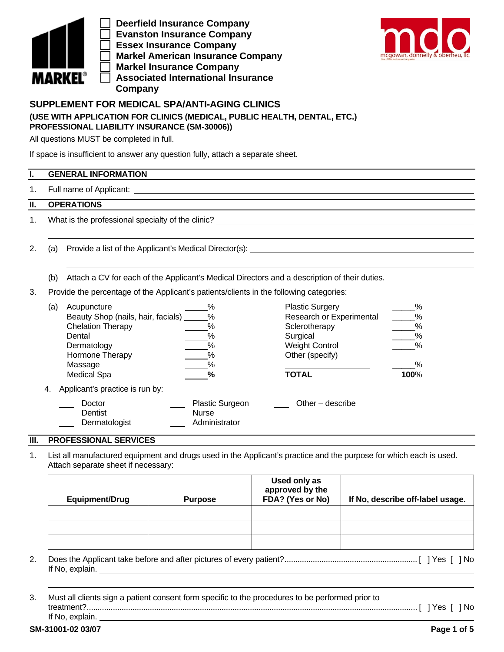

 **Deerfield Insurance Company Evanston Insurance Company Essex Insurance Company Markel American Insurance Company Markel Insurance Company Associated International Insurance Company**



## **SUPPLEMENT FOR MEDICAL SPA/ANTI-AGING CLINICS (USE WITH APPLICATION FOR CLINICS (MEDICAL, PUBLIC HEALTH, DENTAL, ETC.) PROFESSIONAL LIABILITY INSURANCE (SM-30006))**

All questions MUST be completed in full.

If space is insufficient to answer any question fully, attach a separate sheet.

## **I. GENERAL INFORMATION**

1. Full name of Applicant:

### **II. OPERATIONS**

1. What is the professional specialty of the clinic?

2. (a) Provide a list of the Applicant's Medical Director(s):

- (b) Attach a CV for each of the Applicant's Medical Directors and a description of their duties.
- 3. Provide the percentage of the Applicant's patients/clients in the following categories:

| (a) | Acupuncture                        | %                      | <b>Plastic Surgery</b>   | %    |
|-----|------------------------------------|------------------------|--------------------------|------|
|     | Beauty Shop (nails, hair, facials) | %                      | Research or Experimental | %    |
|     | <b>Chelation Therapy</b>           | %                      | Sclerotherapy            | %    |
|     | Dental                             | %                      | Surgical                 | %    |
|     | Dermatology                        | %                      | <b>Weight Control</b>    | %    |
|     | Hormone Therapy                    | %                      | Other (specify)          |      |
|     | Massage                            | %                      |                          | $\%$ |
|     | <b>Medical Spa</b>                 | %                      | <b>TOTAL</b>             | 100% |
| 4.  | Applicant's practice is run by:    |                        |                          |      |
|     | Doctor                             | <b>Plastic Surgeon</b> | Other $-$ describe       |      |
|     | Dentist                            | Nurse                  |                          |      |
|     | Dermatologist                      | Administrator          |                          |      |

#### **III. PROFESSIONAL SERVICES**

1. List all manufactured equipment and drugs used in the Applicant's practice and the purpose for which each is used. Attach separate sheet if necessary:

| Equipment/Drug | <b>Purpose</b> | Used only as<br>approved by the<br>FDA? (Yes or No) | If No, describe off-label usage. |
|----------------|----------------|-----------------------------------------------------|----------------------------------|
|                |                |                                                     |                                  |
|                |                |                                                     |                                  |
|                |                |                                                     |                                  |

- 2. Does the Applicant take before and after pictures of every patient? ............................................................. [ ] Yes [ ] No If No, explain.
- 3. Must all clients sign a patient consent form specific to the procedures to be performed prior to treatment? ........................................................................................................................................................ [ ] Yes [ ] No If No, explain.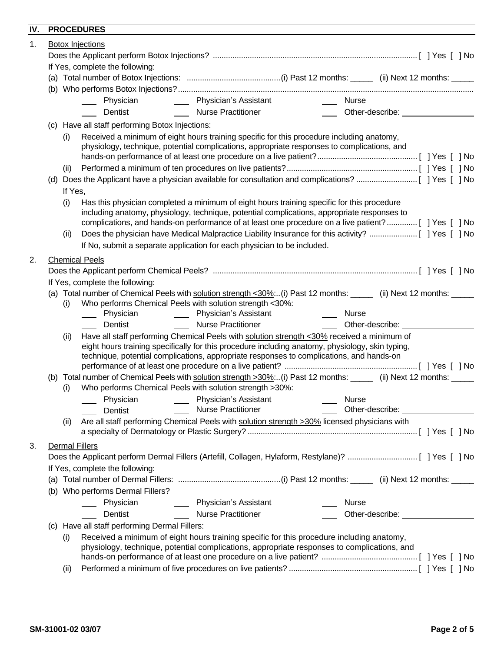# **IV. PROCEDURES**

| 1V. |                                                                                                                                                                                                 |         | <b>FINUGLDUNLO</b>                                                                                                                                                                                                                                                                         |                                           |                               |                                                                                                                                                                                                                                      |  |
|-----|-------------------------------------------------------------------------------------------------------------------------------------------------------------------------------------------------|---------|--------------------------------------------------------------------------------------------------------------------------------------------------------------------------------------------------------------------------------------------------------------------------------------------|-------------------------------------------|-------------------------------|--------------------------------------------------------------------------------------------------------------------------------------------------------------------------------------------------------------------------------------|--|
| 1.  |                                                                                                                                                                                                 |         | <b>Botox Injections</b>                                                                                                                                                                                                                                                                    |                                           |                               |                                                                                                                                                                                                                                      |  |
|     |                                                                                                                                                                                                 |         |                                                                                                                                                                                                                                                                                            |                                           |                               |                                                                                                                                                                                                                                      |  |
|     |                                                                                                                                                                                                 |         | If Yes, complete the following:                                                                                                                                                                                                                                                            |                                           |                               |                                                                                                                                                                                                                                      |  |
|     |                                                                                                                                                                                                 |         |                                                                                                                                                                                                                                                                                            |                                           |                               |                                                                                                                                                                                                                                      |  |
|     |                                                                                                                                                                                                 |         |                                                                                                                                                                                                                                                                                            |                                           |                               |                                                                                                                                                                                                                                      |  |
|     |                                                                                                                                                                                                 |         |                                                                                                                                                                                                                                                                                            | Physician _________ Physician's Assistant | $\frac{1}{2}$ .<br>Nurse      |                                                                                                                                                                                                                                      |  |
|     |                                                                                                                                                                                                 |         | Dentist                                                                                                                                                                                                                                                                                    | <b>Nurse Practitioner</b>                 |                               | Other-describe: <u>Community of the set of the set of the set of the set of the set of the set of the set of the set of the set of the set of the set of the set of the set of the set of the set of the set of the set of the s</u> |  |
|     | (c) Have all staff performing Botox Injections:                                                                                                                                                 |         |                                                                                                                                                                                                                                                                                            |                                           |                               |                                                                                                                                                                                                                                      |  |
|     |                                                                                                                                                                                                 | (i)     | Received a minimum of eight hours training specific for this procedure including anatomy,<br>physiology, technique, potential complications, appropriate responses to complications, and                                                                                                   |                                           |                               |                                                                                                                                                                                                                                      |  |
|     |                                                                                                                                                                                                 | (ii)    |                                                                                                                                                                                                                                                                                            |                                           |                               |                                                                                                                                                                                                                                      |  |
|     |                                                                                                                                                                                                 |         |                                                                                                                                                                                                                                                                                            |                                           |                               |                                                                                                                                                                                                                                      |  |
|     |                                                                                                                                                                                                 | If Yes, |                                                                                                                                                                                                                                                                                            |                                           |                               |                                                                                                                                                                                                                                      |  |
|     |                                                                                                                                                                                                 | (i)     | Has this physician completed a minimum of eight hours training specific for this procedure<br>including anatomy, physiology, technique, potential complications, appropriate responses to                                                                                                  |                                           |                               | complications, and hands-on performance of at least one procedure on a live patient?[ ] Yes [ ] No                                                                                                                                   |  |
|     |                                                                                                                                                                                                 | (ii)    |                                                                                                                                                                                                                                                                                            |                                           |                               |                                                                                                                                                                                                                                      |  |
|     |                                                                                                                                                                                                 |         | If No, submit a separate application for each physician to be included.                                                                                                                                                                                                                    |                                           |                               |                                                                                                                                                                                                                                      |  |
| 2.  |                                                                                                                                                                                                 |         | <b>Chemical Peels</b>                                                                                                                                                                                                                                                                      |                                           |                               |                                                                                                                                                                                                                                      |  |
|     |                                                                                                                                                                                                 |         |                                                                                                                                                                                                                                                                                            |                                           |                               |                                                                                                                                                                                                                                      |  |
|     |                                                                                                                                                                                                 |         | If Yes, complete the following:                                                                                                                                                                                                                                                            |                                           |                               |                                                                                                                                                                                                                                      |  |
|     |                                                                                                                                                                                                 |         |                                                                                                                                                                                                                                                                                            |                                           |                               | (a) Total number of Chemical Peels with solution strength <30%(i) Past 12 months: _____ (ii) Next 12 months: _____                                                                                                                   |  |
|     |                                                                                                                                                                                                 | (i)     | Who performs Chemical Peels with solution strength <30%:                                                                                                                                                                                                                                   |                                           |                               |                                                                                                                                                                                                                                      |  |
|     |                                                                                                                                                                                                 |         | _____ Physician _______                                                                                                                                                                                                                                                                    | Physician's Assistant                     | <b>Nurse</b><br>$\frac{1}{2}$ |                                                                                                                                                                                                                                      |  |
|     |                                                                                                                                                                                                 |         | Dentist                                                                                                                                                                                                                                                                                    | Nurse Practitioner                        |                               | Other-describe: <u>containing</u>                                                                                                                                                                                                    |  |
|     |                                                                                                                                                                                                 | (ii)    | Have all staff performing Chemical Peels with solution strength <30% received a minimum of<br>eight hours training specifically for this procedure including anatomy, physiology, skin typing,<br>technique, potential complications, appropriate responses to complications, and hands-on |                                           |                               |                                                                                                                                                                                                                                      |  |
|     |                                                                                                                                                                                                 |         |                                                                                                                                                                                                                                                                                            |                                           |                               | (b) Total number of Chemical Peels with solution strength >30%:(i) Past 12 months: _____ (ii) Next 12 months: _____                                                                                                                  |  |
|     |                                                                                                                                                                                                 | (i)     | Who performs Chemical Peels with solution strength >30%:                                                                                                                                                                                                                                   |                                           |                               |                                                                                                                                                                                                                                      |  |
|     |                                                                                                                                                                                                 |         |                                                                                                                                                                                                                                                                                            |                                           | Nurse                         |                                                                                                                                                                                                                                      |  |
|     |                                                                                                                                                                                                 |         | Dentist                                                                                                                                                                                                                                                                                    | <b>Nurse Practitioner</b>                 |                               | Other-describe: __________________                                                                                                                                                                                                   |  |
|     |                                                                                                                                                                                                 | (ii)    | Are all staff performing Chemical Peels with solution strength >30% licensed physicians with                                                                                                                                                                                               |                                           |                               |                                                                                                                                                                                                                                      |  |
| 3.  |                                                                                                                                                                                                 |         | <b>Dermal Fillers</b>                                                                                                                                                                                                                                                                      |                                           |                               |                                                                                                                                                                                                                                      |  |
|     |                                                                                                                                                                                                 |         |                                                                                                                                                                                                                                                                                            |                                           |                               |                                                                                                                                                                                                                                      |  |
|     |                                                                                                                                                                                                 |         | If Yes, complete the following:                                                                                                                                                                                                                                                            |                                           |                               |                                                                                                                                                                                                                                      |  |
|     |                                                                                                                                                                                                 |         |                                                                                                                                                                                                                                                                                            |                                           |                               |                                                                                                                                                                                                                                      |  |
|     |                                                                                                                                                                                                 |         | (b) Who performs Dermal Fillers?                                                                                                                                                                                                                                                           |                                           |                               |                                                                                                                                                                                                                                      |  |
|     |                                                                                                                                                                                                 |         | Physician                                                                                                                                                                                                                                                                                  | Physician's Assistant                     | <b>Nurse</b>                  |                                                                                                                                                                                                                                      |  |
|     |                                                                                                                                                                                                 |         | Dentist                                                                                                                                                                                                                                                                                    | <b>Nurse Practitioner</b>                 |                               | Other-describe: <u>www.community-organisms</u>                                                                                                                                                                                       |  |
|     |                                                                                                                                                                                                 |         | (c) Have all staff performing Dermal Fillers:                                                                                                                                                                                                                                              |                                           |                               |                                                                                                                                                                                                                                      |  |
|     | Received a minimum of eight hours training specific for this procedure including anatomy,<br>(i)<br>physiology, technique, potential complications, appropriate responses to complications, and |         |                                                                                                                                                                                                                                                                                            |                                           |                               |                                                                                                                                                                                                                                      |  |
|     |                                                                                                                                                                                                 | (ii)    |                                                                                                                                                                                                                                                                                            |                                           |                               |                                                                                                                                                                                                                                      |  |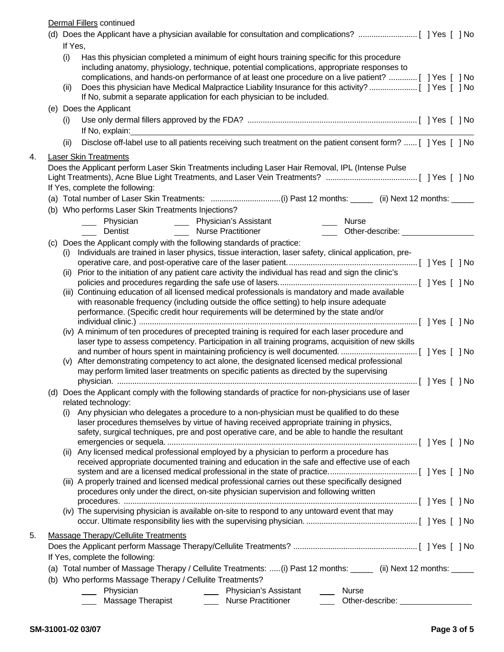Dermal Fillers continued

|    |             | <u>Definal Fillers</u> continued                                                                                                                                                                                                                                                                                                                                                                        |  |
|----|-------------|---------------------------------------------------------------------------------------------------------------------------------------------------------------------------------------------------------------------------------------------------------------------------------------------------------------------------------------------------------------------------------------------------------|--|
|    |             |                                                                                                                                                                                                                                                                                                                                                                                                         |  |
|    | If Yes,     |                                                                                                                                                                                                                                                                                                                                                                                                         |  |
|    | (i)<br>(ii) | Has this physician completed a minimum of eight hours training specific for this procedure<br>including anatomy, physiology, technique, potential complications, appropriate responses to<br>complications, and hands-on performance of at least one procedure on a live patient?  [ ] Yes [ ] No<br>Does this physician have Medical Malpractice Liability Insurance for this activity? [ ] Yes [ ] No |  |
|    |             | If No, submit a separate application for each physician to be included.                                                                                                                                                                                                                                                                                                                                 |  |
|    |             | (e) Does the Applicant                                                                                                                                                                                                                                                                                                                                                                                  |  |
|    | (i)         |                                                                                                                                                                                                                                                                                                                                                                                                         |  |
|    | (ii)        | Disclose off-label use to all patients receiving such treatment on the patient consent form?  [ ] Yes [ ] No                                                                                                                                                                                                                                                                                            |  |
| 4. |             | <b>Laser Skin Treatments</b>                                                                                                                                                                                                                                                                                                                                                                            |  |
|    |             | Does the Applicant perform Laser Skin Treatments including Laser Hair Removal, IPL (Intense Pulse<br>If Yes, complete the following:                                                                                                                                                                                                                                                                    |  |
|    |             | (a) Total number of Laser Skin Treatments: (i) Past 12 months: _____ (ii) Next 12 months: ____                                                                                                                                                                                                                                                                                                          |  |
|    |             | (b) Who performs Laser Skin Treatments Injections?                                                                                                                                                                                                                                                                                                                                                      |  |
|    |             | <b>Nurse</b>                                                                                                                                                                                                                                                                                                                                                                                            |  |
|    |             | <b>Nurse Practitioner</b><br><b>Dentist</b><br>$\frac{1}{2}$                                                                                                                                                                                                                                                                                                                                            |  |
|    |             | (c) Does the Applicant comply with the following standards of practice:                                                                                                                                                                                                                                                                                                                                 |  |
|    | (i)         | Individuals are trained in laser physics, tissue interaction, laser safety, clinical application, pre-                                                                                                                                                                                                                                                                                                  |  |
|    |             |                                                                                                                                                                                                                                                                                                                                                                                                         |  |
|    |             | (ii) Prior to the initiation of any patient care activity the individual has read and sign the clinic's                                                                                                                                                                                                                                                                                                 |  |
|    |             | (iii) Continuing education of all licensed medical professionals is mandatory and made available                                                                                                                                                                                                                                                                                                        |  |
|    |             | with reasonable frequency (including outside the office setting) to help insure adequate                                                                                                                                                                                                                                                                                                                |  |
|    |             | performance. (Specific credit hour requirements will be determined by the state and/or                                                                                                                                                                                                                                                                                                                  |  |
|    |             |                                                                                                                                                                                                                                                                                                                                                                                                         |  |
|    |             | (iv) A minimum of ten procedures of precepted training is required for each laser procedure and                                                                                                                                                                                                                                                                                                         |  |
|    |             | laser type to assess competency. Participation in all training programs, acquisition of new skills                                                                                                                                                                                                                                                                                                      |  |
|    | (v)         | After demonstrating competency to act alone, the designated licensed medical professional                                                                                                                                                                                                                                                                                                               |  |
|    |             | may perform limited laser treatments on specific patients as directed by the supervising                                                                                                                                                                                                                                                                                                                |  |
|    |             |                                                                                                                                                                                                                                                                                                                                                                                                         |  |
|    |             | (d) Does the Applicant comply with the following standards of practice for non-physicians use of laser<br>related technology:                                                                                                                                                                                                                                                                           |  |
|    |             | (i) Any physician who delegates a procedure to a non-physician must be qualified to do these                                                                                                                                                                                                                                                                                                            |  |
|    |             | laser procedures themselves by virtue of having received appropriate training in physics,                                                                                                                                                                                                                                                                                                               |  |
|    |             | safety, surgical techniques, pre and post operative care, and be able to handle the resultant                                                                                                                                                                                                                                                                                                           |  |
|    | (11)        | Any licensed medical professional employed by a physician to perform a procedure has                                                                                                                                                                                                                                                                                                                    |  |
|    |             | received appropriate documented training and education in the safe and effective use of each                                                                                                                                                                                                                                                                                                            |  |
|    |             |                                                                                                                                                                                                                                                                                                                                                                                                         |  |
|    |             | (iii) A properly trained and licensed medical professional carries out these specifically designed                                                                                                                                                                                                                                                                                                      |  |
|    |             | procedures only under the direct, on-site physician supervision and following written                                                                                                                                                                                                                                                                                                                   |  |
|    |             |                                                                                                                                                                                                                                                                                                                                                                                                         |  |
|    |             | (iv) The supervising physician is available on-site to respond to any untoward event that may                                                                                                                                                                                                                                                                                                           |  |
| 5. |             | Massage Therapy/Cellulite Treatments                                                                                                                                                                                                                                                                                                                                                                    |  |
|    |             |                                                                                                                                                                                                                                                                                                                                                                                                         |  |
|    |             | If Yes, complete the following:                                                                                                                                                                                                                                                                                                                                                                         |  |
|    |             | (a) Total number of Massage Therapy / Cellulite Treatments:  (i) Past 12 months: _____ (ii) Next 12 months: _____                                                                                                                                                                                                                                                                                       |  |
|    |             | (b) Who performs Massage Therapy / Cellulite Treatments?                                                                                                                                                                                                                                                                                                                                                |  |
|    |             | Physician<br>Physician's Assistant<br>___ Nurse<br>Massage Therapist [1894]<br><b>Nurse Practitioner</b><br>Other-describe:                                                                                                                                                                                                                                                                             |  |
|    |             |                                                                                                                                                                                                                                                                                                                                                                                                         |  |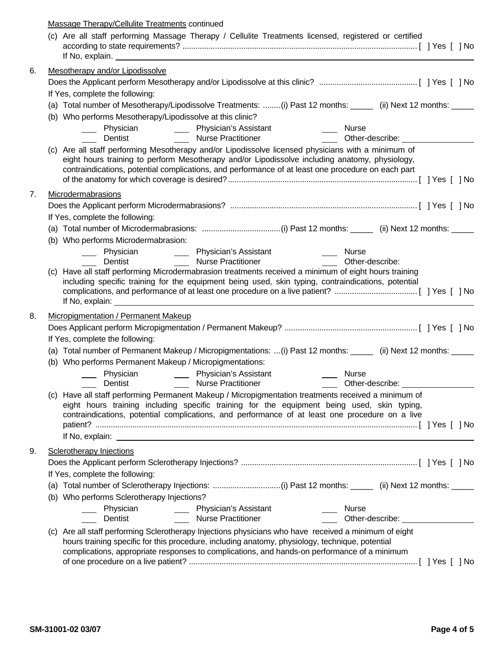|    | Massage Therapy/Cellulite Treatments continued                                                                                                                                                                                                                                                             |                                                                                                                        |                                 |                                  |  |  |
|----|------------------------------------------------------------------------------------------------------------------------------------------------------------------------------------------------------------------------------------------------------------------------------------------------------------|------------------------------------------------------------------------------------------------------------------------|---------------------------------|----------------------------------|--|--|
|    | (c) Are all staff performing Massage Therapy / Cellulite Treatments licensed, registered or certified<br>If No, explain.                                                                                                                                                                                   | <u> 1989 - Johann Stoff, deutscher Stoffen und der Stoffen und der Stoffen und der Stoffen und der Stoffen und der</u> |                                 |                                  |  |  |
| 6. | Mesotherapy and/or Lipodissolve                                                                                                                                                                                                                                                                            |                                                                                                                        |                                 |                                  |  |  |
|    |                                                                                                                                                                                                                                                                                                            |                                                                                                                        |                                 |                                  |  |  |
|    | If Yes, complete the following:                                                                                                                                                                                                                                                                            |                                                                                                                        |                                 |                                  |  |  |
|    | (a) Total number of Mesotherapy/Lipodissolve Treatments: (i) Past 12 months: ______ (ii) Next 12 months: _____                                                                                                                                                                                             |                                                                                                                        |                                 |                                  |  |  |
|    | (b) Who performs Mesotherapy/Lipodissolve at this clinic?                                                                                                                                                                                                                                                  |                                                                                                                        |                                 |                                  |  |  |
|    |                                                                                                                                                                                                                                                                                                            |                                                                                                                        | Nurse                           |                                  |  |  |
|    | ___ Physician _______ Physician's Assistant<br>___ Dentist ____________ Nurse Practitioner                                                                                                                                                                                                                 |                                                                                                                        | Other-describe: ____________    |                                  |  |  |
|    | (c) Are all staff performing Mesotherapy and/or Lipodissolve licensed physicians with a minimum of<br>eight hours training to perform Mesotherapy and/or Lipodissolve including anatomy, physiology,<br>contraindications, potential complications, and performance of at least one procedure on each part |                                                                                                                        |                                 |                                  |  |  |
| 7. | Microdermabrasions                                                                                                                                                                                                                                                                                         |                                                                                                                        |                                 |                                  |  |  |
|    |                                                                                                                                                                                                                                                                                                            |                                                                                                                        |                                 |                                  |  |  |
|    | If Yes, complete the following:                                                                                                                                                                                                                                                                            |                                                                                                                        |                                 |                                  |  |  |
|    |                                                                                                                                                                                                                                                                                                            |                                                                                                                        |                                 |                                  |  |  |
|    | (b) Who performs Microdermabrasion:                                                                                                                                                                                                                                                                        |                                                                                                                        |                                 |                                  |  |  |
|    |                                                                                                                                                                                                                                                                                                            | _____ Physician _________ Physician's Assistant<br>____ Dentist _____________ Nurse Practitioner                       | ____ Nurse<br>Other-describe:   |                                  |  |  |
|    |                                                                                                                                                                                                                                                                                                            |                                                                                                                        |                                 |                                  |  |  |
|    | (c) Have all staff performing Microdermabrasion treatments received a minimum of eight hours training<br>including specific training for the equipment being used, skin typing, contraindications, potential<br>If No, explain:                                                                            | <u> 1989 - John Stein, Amerikaansk politiker (* 1989)</u>                                                              |                                 |                                  |  |  |
| 8. | Micropigmentation / Permanent Makeup                                                                                                                                                                                                                                                                       |                                                                                                                        |                                 |                                  |  |  |
|    |                                                                                                                                                                                                                                                                                                            |                                                                                                                        |                                 |                                  |  |  |
|    | If Yes, complete the following:                                                                                                                                                                                                                                                                            |                                                                                                                        |                                 |                                  |  |  |
|    | (a) Total number of Permanent Makeup / Micropigmentations: (i) Past 12 months: _____ (ii) Next 12 months: ____                                                                                                                                                                                             |                                                                                                                        |                                 |                                  |  |  |
|    | (b) Who performs Permanent Makeup / Micropigmentations:                                                                                                                                                                                                                                                    |                                                                                                                        |                                 |                                  |  |  |
|    |                                                                                                                                                                                                                                                                                                            |                                                                                                                        | <b>Nurse</b>                    |                                  |  |  |
|    | _____ Physician _________ Physician's Assistant<br>_____ Dentist _______________ Nurse Practitioner                                                                                                                                                                                                        |                                                                                                                        | Other-describe: Other-describe: |                                  |  |  |
|    | (c) Have all staff performing Permanent Makeup / Micropigmentation treatments received a minimum of<br>eight hours training including specific training for the equipment being used, skin typing,<br>contraindications, potential complications, and performance of at least one procedure on a live      |                                                                                                                        |                                 |                                  |  |  |
| 9. | Sclerotherapy Injections                                                                                                                                                                                                                                                                                   |                                                                                                                        |                                 |                                  |  |  |
|    |                                                                                                                                                                                                                                                                                                            |                                                                                                                        |                                 |                                  |  |  |
|    | If Yes, complete the following:                                                                                                                                                                                                                                                                            |                                                                                                                        |                                 |                                  |  |  |
|    | (a) Total number of Sclerotherapy Injections: (i) Past 12 months: _____ (ii) Next 12 months: _____                                                                                                                                                                                                         |                                                                                                                        |                                 |                                  |  |  |
|    | (b) Who performs Sclerotherapy Injections?                                                                                                                                                                                                                                                                 |                                                                                                                        |                                 |                                  |  |  |
|    |                                                                                                                                                                                                                                                                                                            |                                                                                                                        | Nurse                           |                                  |  |  |
|    | ______ Physician __________ Physician's Assistant<br>_____ Dentist _________________ Nurse Practitioner                                                                                                                                                                                                    |                                                                                                                        |                                 | Other-describe: <u>contained</u> |  |  |
|    | (c) Are all staff performing Sclerotherapy Injections physicians who have received a minimum of eight<br>hours training specific for this procedure, including anatomy, physiology, technique, potential<br>complications, appropriate responses to complications, and hands-on performance of a minimum   |                                                                                                                        |                                 |                                  |  |  |